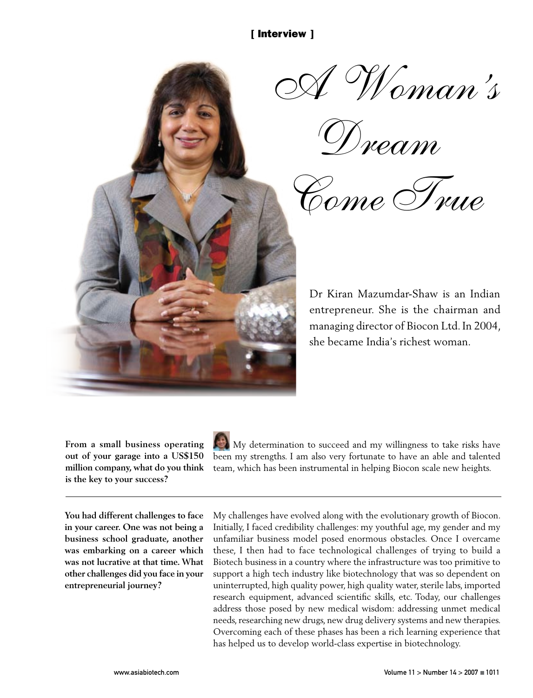

*A Woman's* 

*Dream* 

*Come True*

Dr Kiran Mazumdar-Shaw is an Indian entrepreneur. She is the chairman and managing director of Biocon Ltd. In 2004, she became India's richest woman.

**From a small business operating out of your garage into a US\$150 million company, what do you think is the key to your success?**



My determination to succeed and my willingness to take risks have been my strengths. I am also very fortunate to have an able and talented team, which has been instrumental in helping Biocon scale new heights.

**You had different challenges to face in your career. One was not being a business school graduate, another was embarking on a career which was not lucrative at that time. What other challenges did you face in your entrepreneurial journey?**

My challenges have evolved along with the evolutionary growth of Biocon. Initially, I faced credibility challenges: my youthful age, my gender and my unfamiliar business model posed enormous obstacles. Once I overcame these, I then had to face technological challenges of trying to build a Biotech business in a country where the infrastructure was too primitive to support a high tech industry like biotechnology that was so dependent on uninterrupted, high quality power, high quality water, sterile labs, imported research equipment, advanced scientific skills, etc. Today, our challenges address those posed by new medical wisdom: addressing unmet medical needs, researching new drugs, new drug delivery systems and new therapies. Overcoming each of these phases has been a rich learning experience that has helped us to develop world-class expertise in biotechnology.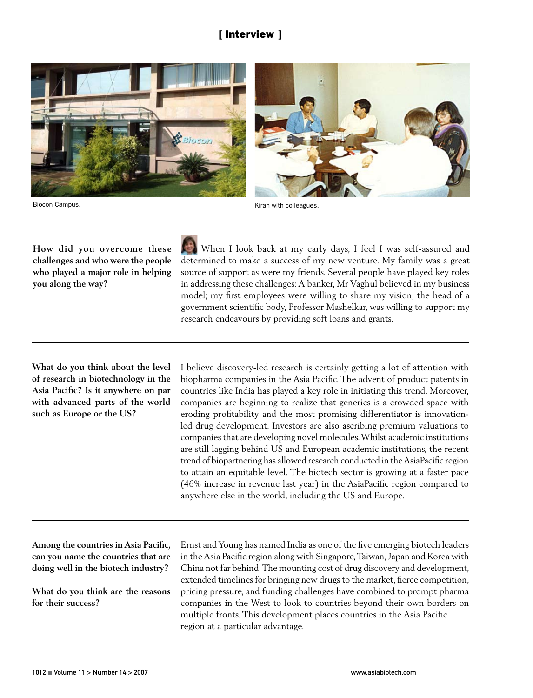

Biocon Campus.

Kiran with colleagues.

**How did you overcome these challenges and who were the people who played a major role in helping you along the way?**

 When I look back at my early days, I feel I was self-assured and determined to make a success of my new venture. My family was a great source of support as were my friends. Several people have played key roles in addressing these challenges: A banker, Mr Vaghul believed in my business model; my first employees were willing to share my vision; the head of a government scientific body, Professor Mashelkar, was willing to support my research endeavours by providing soft loans and grants.

**What do you think about the level of research in biotechnology in the Asia Pacific? Is it anywhere on par with advanced parts of the world such as Europe or the US?**

I believe discovery-led research is certainly getting a lot of attention with biopharma companies in the Asia Pacific. The advent of product patents in countries like India has played a key role in initiating this trend. Moreover, companies are beginning to realize that generics is a crowded space with eroding profitability and the most promising differentiator is innovationled drug development. Investors are also ascribing premium valuations to companies that are developing novel molecules. Whilst academic institutions are still lagging behind US and European academic institutions, the recent trend of biopartnering has allowed research conducted in the AsiaPacific region to attain an equitable level. The biotech sector is growing at a faster pace (46% increase in revenue last year) in the AsiaPacific region compared to anywhere else in the world, including the US and Europe.

**Among the countries in Asia Pacific, can you name the countries that are doing well in the biotech industry?**

**What do you think are the reasons for their success?**

Ernst and Young has named India as one of the five emerging biotech leaders in the Asia Pacific region along with Singapore, Taiwan, Japan and Korea with China not far behind. The mounting cost of drug discovery and development, extended timelines for bringing new drugs to the market, fierce competition, pricing pressure, and funding challenges have combined to prompt pharma companies in the West to look to countries beyond their own borders on multiple fronts. This development places countries in the Asia Pacific region at a particular advantage.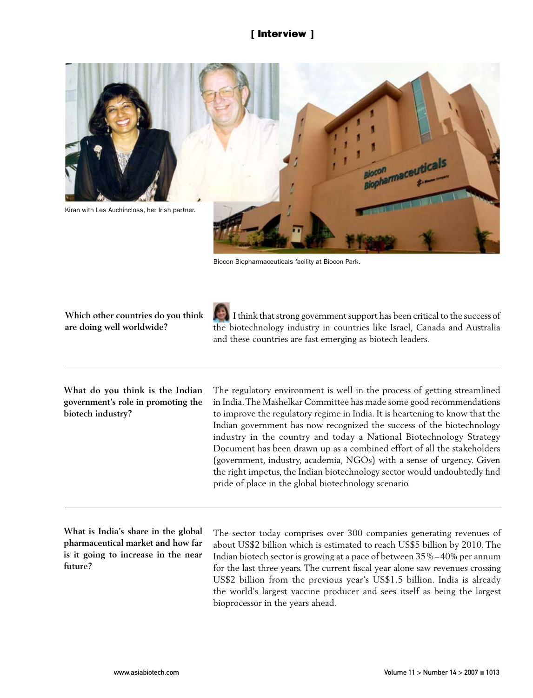

Biocon Biopharmaceuticals facility at Biocon Park.

**Which other countries do you think are doing well worldwide?**

 I think that strong government support has been critical to the success of the biotechnology industry in countries like Israel, Canada and Australia and these countries are fast emerging as biotech leaders.

**What do you think is the Indian government's role in promoting the biotech industry?** 

The regulatory environment is well in the process of getting streamlined in India. The Mashelkar Committee has made some good recommendations to improve the regulatory regime in India. It is heartening to know that the Indian government has now recognized the success of the biotechnology industry in the country and today a National Biotechnology Strategy Document has been drawn up as a combined effort of all the stakeholders (government, industry, academia, NGOs) with a sense of urgency. Given the right impetus, the Indian biotechnology sector would undoubtedly find pride of place in the global biotechnology scenario.

**What is India's share in the global pharmaceutical market and how far is it going to increase in the near future?**

The sector today comprises over 300 companies generating revenues of about US\$2 billion which is estimated to reach US\$5 billion by 2010. The Indian biotech sector is growing at a pace of between 35%–40% per annum for the last three years. The current fiscal year alone saw revenues crossing US\$2 billion from the previous year's US\$1.5 billion. India is already the world's largest vaccine producer and sees itself as being the largest bioprocessor in the years ahead.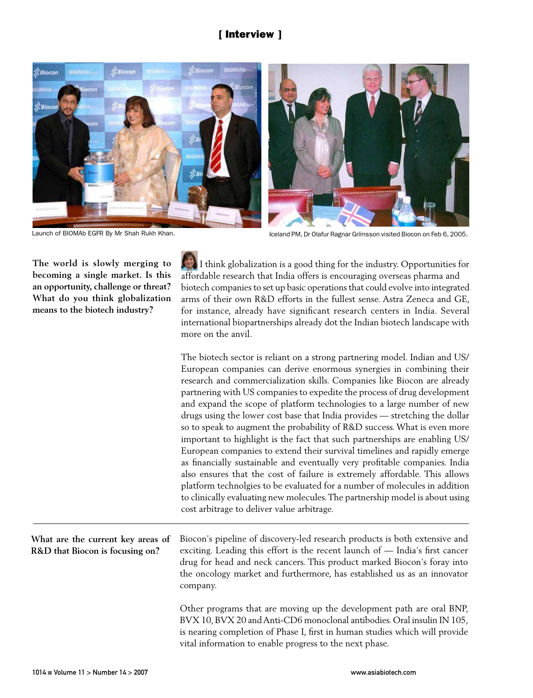

Launch of BIOMAb EGFR By Mr Shah Rukh Khan. Iceland PM, Dr Olafur Ragnar Grímsson visited Biocon on Feb 6, 2005.

**The world is slowly merging to becoming a single market. Is this an opportunity, challenge or threat? What do you think globalization means to the biotech industry?**

 I think globalization is a good thing for the industry. Opportunities for affordable research that India offers is encouraging overseas pharma and biotech companies to set up basic operations that could evolve into integrated arms of their own R&D efforts in the fullest sense. Astra Zeneca and GE, for instance, already have significant research centers in India. Several international biopartnerships already dot the Indian biotech landscape with more on the anvil.

The biotech sector is reliant on a strong partnering model. Indian and US/ European companies can derive enormous synergies in combining their research and commercialization skills. Companies like Biocon are already partnering with US companies to expedite the process of drug development and expand the scope of platform technologies to a large number of new drugs using the lower cost base that India provides — stretching the dollar so to speak to augment the probability of R&D success. What is even more important to highlight is the fact that such partnerships are enabling US/ European companies to extend their survival timelines and rapidly emerge as financially sustainable and eventually very profitable companies. India also ensures that the cost of failure is extremely affordable. This allows platform technolgies to be evaluated for a number of molecules in addition to clinically evaluating new molecules. The partnership model is about using cost arbitrage to deliver value arbitrage.

**What are the current key areas of R&D that Biocon is focusing on?** Biocon's pipeline of discovery-led research products is both extensive and exciting. Leading this effort is the recent launch of — India's first cancer drug for head and neck cancers. This product marked Biocon's foray into the oncology market and furthermore, has established us as an innovator company.

> Other programs that are moving up the development path are oral BNP, BVX 10, BVX 20 and Anti-CD6 monoclonal antibodies. Oral insulin IN 105, is nearing completion of Phase I, first in human studies which will provide vital information to enable progress to the next phase.